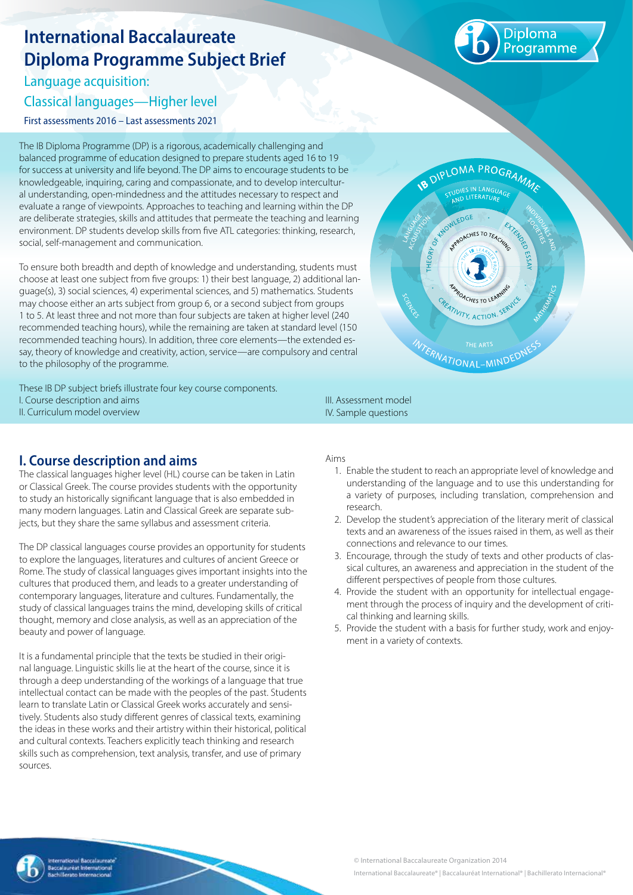# **International Baccalaureate Diploma Programme Subject Brief**

Language acquisition:

Classical languages—Higher level

First assessments 2016 – Last assessments 2021

The IB Diploma Programme (DP) is a rigorous, academically challenging and balanced programme of education designed to prepare students aged 16 to 19 for success at university and life beyond. The DP aims to encourage students to be knowledgeable, inquiring, caring and compassionate, and to develop intercultural understanding, open-mindedness and the attitudes necessary to respect and evaluate a range of viewpoints. Approaches to teaching and learning within the DP are deliberate strategies, skills and attitudes that permeate the teaching and learning environment. DP students develop skills from five ATL categories: thinking, research, social, self-management and communication.

To ensure both breadth and depth of knowledge and understanding, students must choose at least one subject from five groups: 1) their best language, 2) additional language(s), 3) social sciences, 4) experimental sciences, and 5) mathematics. Students may choose either an arts subject from group 6, or a second subject from groups 1 to 5. At least three and not more than four subjects are taken at higher level (240 recommended teaching hours), while the remaining are taken at standard level (150 recommended teaching hours). In addition, three core elements—the extended essay, theory of knowledge and creativity, action, service—are compulsory and central to the philosophy of the programme.

These IB DP subject briefs illustrate four key course components. I. Course description and aims II. Curriculum model overview



**I. Course description and aims**

The classical languages higher level (HL) course can be taken in Latin or Classical Greek. The course provides students with the opportunity to study an historically significant language that is also embedded in many modern languages. Latin and Classical Greek are separate subjects, but they share the same syllabus and assessment criteria.

The DP classical languages course provides an opportunity for students to explore the languages, literatures and cultures of ancient Greece or Rome. The study of classical languages gives important insights into the cultures that produced them, and leads to a greater understanding of contemporary languages, literature and cultures. Fundamentally, the study of classical languages trains the mind, developing skills of critical thought, memory and close analysis, as well as an appreciation of the beauty and power of language.

It is a fundamental principle that the texts be studied in their original language. Linguistic skills lie at the heart of the course, since it is through a deep understanding of the workings of a language that true intellectual contact can be made with the peoples of the past. Students learn to translate Latin or Classical Greek works accurately and sensitively. Students also study different genres of classical texts, examining the ideas in these works and their artistry within their historical, political and cultural contexts. Teachers explicitly teach thinking and research skills such as comprehension, text analysis, transfer, and use of primary sources.

III. Assessment model IV. Sample questions

#### Aims

- 1. Enable the student to reach an appropriate level of knowledge and understanding of the language and to use this understanding for a variety of purposes, including translation, comprehension and research.
- 2. Develop the student's appreciation of the literary merit of classical texts and an awareness of the issues raised in them, as well as their connections and relevance to our times.
- 3. Encourage, through the study of texts and other products of classical cultures, an awareness and appreciation in the student of the different perspectives of people from those cultures.
- 4. Provide the student with an opportunity for intellectual engagement through the process of inquiry and the development of critical thinking and learning skills.
- 5. Provide the student with a basis for further study, work and enjoyment in a variety of contexts.



**ogramme**